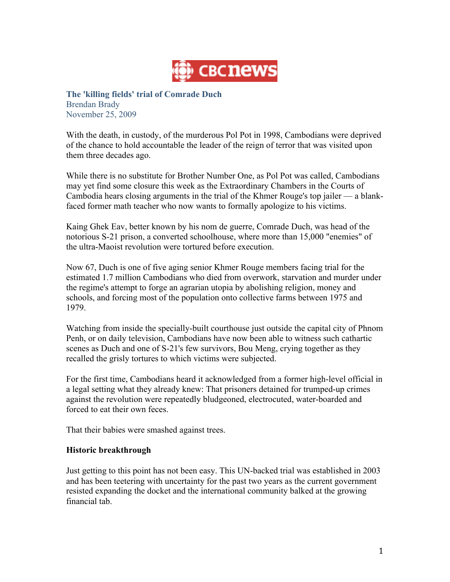

**The 'killing fields' trial of Comrade Duch** Brendan Brady November 25, 2009

With the death, in custody, of the murderous Pol Pot in 1998, Cambodians were deprived of the chance to hold accountable the leader of the reign of terror that was visited upon them three decades ago.

While there is no substitute for Brother Number One, as Pol Pot was called, Cambodians may yet find some closure this week as the Extraordinary Chambers in the Courts of Cambodia hears closing arguments in the trial of the Khmer Rouge's top jailer — a blankfaced former math teacher who now wants to formally apologize to his victims.

Kaing Ghek Eav, better known by his nom de guerre, Comrade Duch, was head of the notorious S-21 prison, a converted schoolhouse, where more than 15,000 "enemies" of the ultra-Maoist revolution were tortured before execution.

Now 67, Duch is one of five aging senior Khmer Rouge members facing trial for the estimated 1.7 million Cambodians who died from overwork, starvation and murder under the regime's attempt to forge an agrarian utopia by abolishing religion, money and schools, and forcing most of the population onto collective farms between 1975 and 1979.

Watching from inside the specially-built courthouse just outside the capital city of Phnom Penh, or on daily television, Cambodians have now been able to witness such cathartic scenes as Duch and one of S-21's few survivors, Bou Meng, crying together as they recalled the grisly tortures to which victims were subjected.

For the first time, Cambodians heard it acknowledged from a former high-level official in a legal setting what they already knew: That prisoners detained for trumped-up crimes against the revolution were repeatedly bludgeoned, electrocuted, water-boarded and forced to eat their own feces.

That their babies were smashed against trees.

## **Historic breakthrough**

Just getting to this point has not been easy. This UN-backed trial was established in 2003 and has been teetering with uncertainty for the past two years as the current government resisted expanding the docket and the international community balked at the growing financial tab.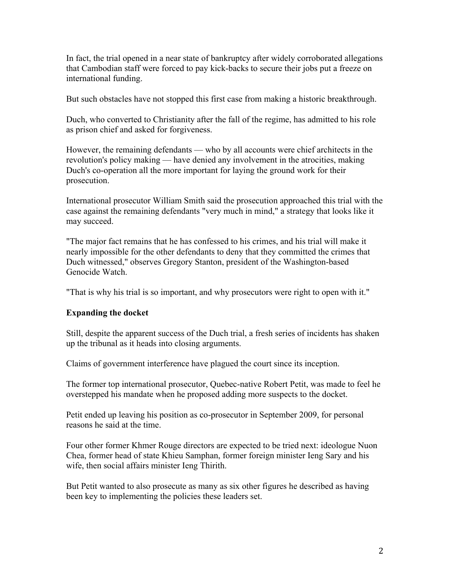In fact, the trial opened in a near state of bankruptcy after widely corroborated allegations that Cambodian staff were forced to pay kick-backs to secure their jobs put a freeze on international funding.

But such obstacles have not stopped this first case from making a historic breakthrough.

Duch, who converted to Christianity after the fall of the regime, has admitted to his role as prison chief and asked for forgiveness.

However, the remaining defendants — who by all accounts were chief architects in the revolution's policy making — have denied any involvement in the atrocities, making Duch's co-operation all the more important for laying the ground work for their prosecution.

International prosecutor William Smith said the prosecution approached this trial with the case against the remaining defendants "very much in mind," a strategy that looks like it may succeed.

"The major fact remains that he has confessed to his crimes, and his trial will make it nearly impossible for the other defendants to deny that they committed the crimes that Duch witnessed," observes Gregory Stanton, president of the Washington-based Genocide Watch.

"That is why his trial is so important, and why prosecutors were right to open with it."

## **Expanding the docket**

Still, despite the apparent success of the Duch trial, a fresh series of incidents has shaken up the tribunal as it heads into closing arguments.

Claims of government interference have plagued the court since its inception.

The former top international prosecutor, Quebec-native Robert Petit, was made to feel he overstepped his mandate when he proposed adding more suspects to the docket.

Petit ended up leaving his position as co-prosecutor in September 2009, for personal reasons he said at the time.

Four other former Khmer Rouge directors are expected to be tried next: ideologue Nuon Chea, former head of state Khieu Samphan, former foreign minister Ieng Sary and his wife, then social affairs minister Ieng Thirith.

But Petit wanted to also prosecute as many as six other figures he described as having been key to implementing the policies these leaders set.